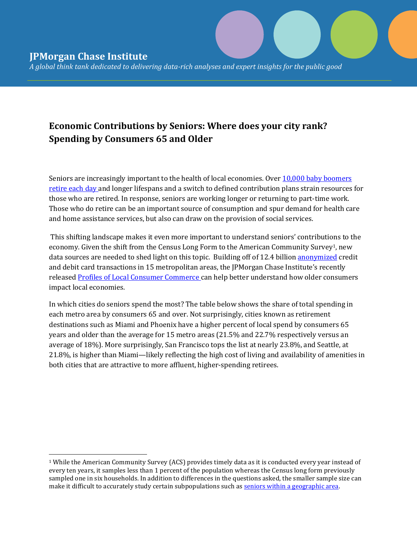$\overline{a}$ 

*A global think tank dedicated to delivering data-rich analyses and expert insights for the public good* 

## **Economic Contributions by Seniors: Where does your city rank? Spending by Consumers 65 and Older**

Seniors are increasingly important to the health of local economies. Ove[r 10,000 baby boomers](https://www.washingtonpost.com/news/fact-checker/wp/2014/07/24/do-10000-baby-boomers-retire-every-day/)  [retire each day](https://www.washingtonpost.com/news/fact-checker/wp/2014/07/24/do-10000-baby-boomers-retire-every-day/) and longer lifespans and a switch to defined contribution plans strain resources for those who are retired. In response, seniors are working longer or returning to part-time work. Those who do retire can be an important source of consumption and spur demand for health care and home assistance services, but also can draw on the provision of social services.

This shifting landscape makes it even more important to understand seniors' contributions to the economy. Given the shift from the Census Long Form to the American Community Survey<sup>1</sup>, new data sources are needed to shed light on this topic. Building off of 12.4 billio[n anonymized](https://www.jpmorganchase.com/corporate/institute/data-privacy.htm) credit and debit card transactions in 15 metropolitan areas, the JPMorgan Chase Institute's recently released [Profiles of Local Consumer Commerce](https://www.jpmorganchase.com/corporate/institute/report-profiles-of-local-commerce.htm) can help better understand how older consumers impact local economies.

In which cities do seniors spend the most? The table below shows the share of total spending in each metro area by consumers 65 and over. Not surprisingly, cities known as retirement destinations such as Miami and Phoenix have a higher percent of local spend by consumers 65 years and older than the average for 15 metro areas (21.5% and 22.7% respectively versus an average of 18%). More surprisingly, San Francisco tops the list at nearly 23.8%, and Seattle, at 21.8%, is higher than Miami—likely reflecting the high cost of living and availability of amenities in both cities that are attractive to more affluent, higher-spending retirees.

<sup>1</sup> While the American Community Survey (ACS) provides timely data as it is conducted every year instead of every ten years, it samples less than 1 percent of the population whereas the Census long form previously sampled one in six households. In addition to differences in the questions asked, the smaller sample size can make it difficult to accurately study certain subpopulations such a[s seniors within a geographic area.](http://pubpages.unh.edu/~ksconway/ACS%20paper%20_Final.pdf)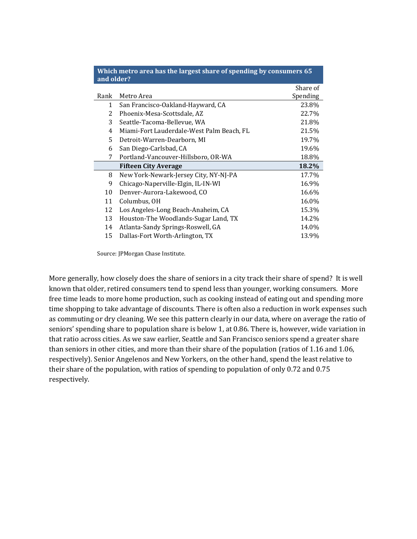| and older? |                                           |          |
|------------|-------------------------------------------|----------|
|            |                                           | Share of |
| Rank       | Metro Area                                | Spending |
| 1          | San Francisco-Oakland-Hayward, CA         | 23.8%    |
| 2          | Phoenix-Mesa-Scottsdale, AZ               | 22.7%    |
| 3          | Seattle-Tacoma-Bellevue, WA               | 21.8%    |
| 4          | Miami-Fort Lauderdale-West Palm Beach, FL | 21.5%    |
| 5.         | Detroit-Warren-Dearborn, MI               | 19.7%    |
| 6          | San Diego-Carlsbad, CA                    | 19.6%    |
| 7          | Portland-Vancouver-Hillsboro, OR-WA       | 18.8%    |
|            | <b>Fifteen City Average</b>               | 18.2%    |
| 8          | New York-Newark-Jersey City, NY-NJ-PA     | 17.7%    |
| 9          | Chicago-Naperville-Elgin, IL-IN-WI        | 16.9%    |
| 10         | Denver-Aurora-Lakewood, CO                | 16.6%    |
| 11         | Columbus, OH                              | 16.0%    |
| 12         | Los Angeles-Long Beach-Anaheim, CA        | 15.3%    |
| 13         | Houston-The Woodlands-Sugar Land, TX      | 14.2%    |
| 14         | Atlanta-Sandy Springs-Roswell, GA         | 14.0%    |
| 15         | Dallas-Fort Worth-Arlington, TX           | 13.9%    |
|            |                                           |          |

**Which metro area has the largest share of spending by consumers 65** 

Source: JPMorgan Chase Institute.

More generally, how closely does the share of seniors in a city track their share of spend? It is well known that older, retired consumers tend to spend less than younger, working consumers. More free time leads to more home production, such as cooking instead of eating out and spending more time shopping to take advantage of discounts. There is often also a reduction in work expenses such as commuting or dry cleaning. We see this pattern clearly in our data, where on average the ratio of seniors' spending share to population share is below 1, at 0.86. There is, however, wide variation in that ratio across cities. As we saw earlier, Seattle and San Francisco seniors spend a greater share than seniors in other cities, and more than their share of the population (ratios of 1.16 and 1.06, respectively). Senior Angelenos and New Yorkers, on the other hand, spend the least relative to their share of the population, with ratios of spending to population of only 0.72 and 0.75 respectively.